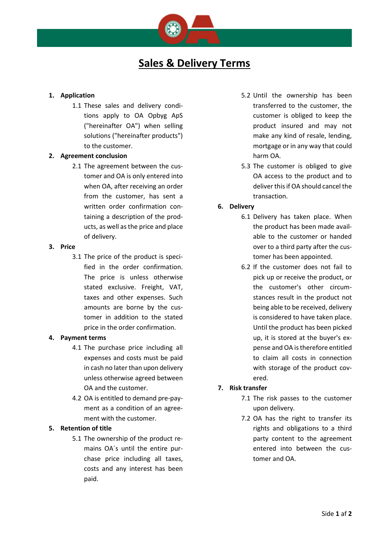

### **1. Application**

1.1 These sales and delivery conditions apply to OA Opbyg ApS ("hereinafter OA") when selling solutions ("hereinafter products") to the customer.

### **2. Agreement conclusion**

2.1 The agreement between the customer and OA is only entered into when OA, after receiving an order from the customer, has sent a written order confirmation containing a description of the products, as well as the price and place of delivery.

#### **3. Price**

3.1 The price of the product is specified in the order confirmation. The price is unless otherwise stated exclusive. Freight, VAT, taxes and other expenses. Such amounts are borne by the customer in addition to the stated price in the order confirmation.

### **4. Payment terms**

- 4.1 The purchase price including all expenses and costs must be paid in cash no later than upon delivery unless otherwise agreed between OA and the customer.
- 4.2 OA is entitled to demand pre-payment as a condition of an agreement with the customer.

## **5. Retention of title**

5.1 The ownership of the product remains OA´s until the entire purchase price including all taxes, costs and any interest has been paid.

- 5.2 Until the ownership has been transferred to the customer, the customer is obliged to keep the product insured and may not make any kind of resale, lending, mortgage or in any way that could harm OA.
- 5.3 The customer is obliged to give OA access to the product and to deliver this if OA should cancel the transaction.

## **6. Delivery**

- 6.1 Delivery has taken place. When the product has been made available to the customer or handed over to a third party after the customer has been appointed.
- 6.2 If the customer does not fail to pick up or receive the product, or the customer's other circumstances result in the product not being able to be received, delivery is considered to have taken place. Until the product has been picked up, it is stored at the buyer's expense and OA is therefore entitled to claim all costs in connection with storage of the product covered.

# **7. Risk transfer**

- 7.1 The risk passes to the customer upon delivery.
- 7.2 OA has the right to transfer its rights and obligations to a third party content to the agreement entered into between the customer and OA.